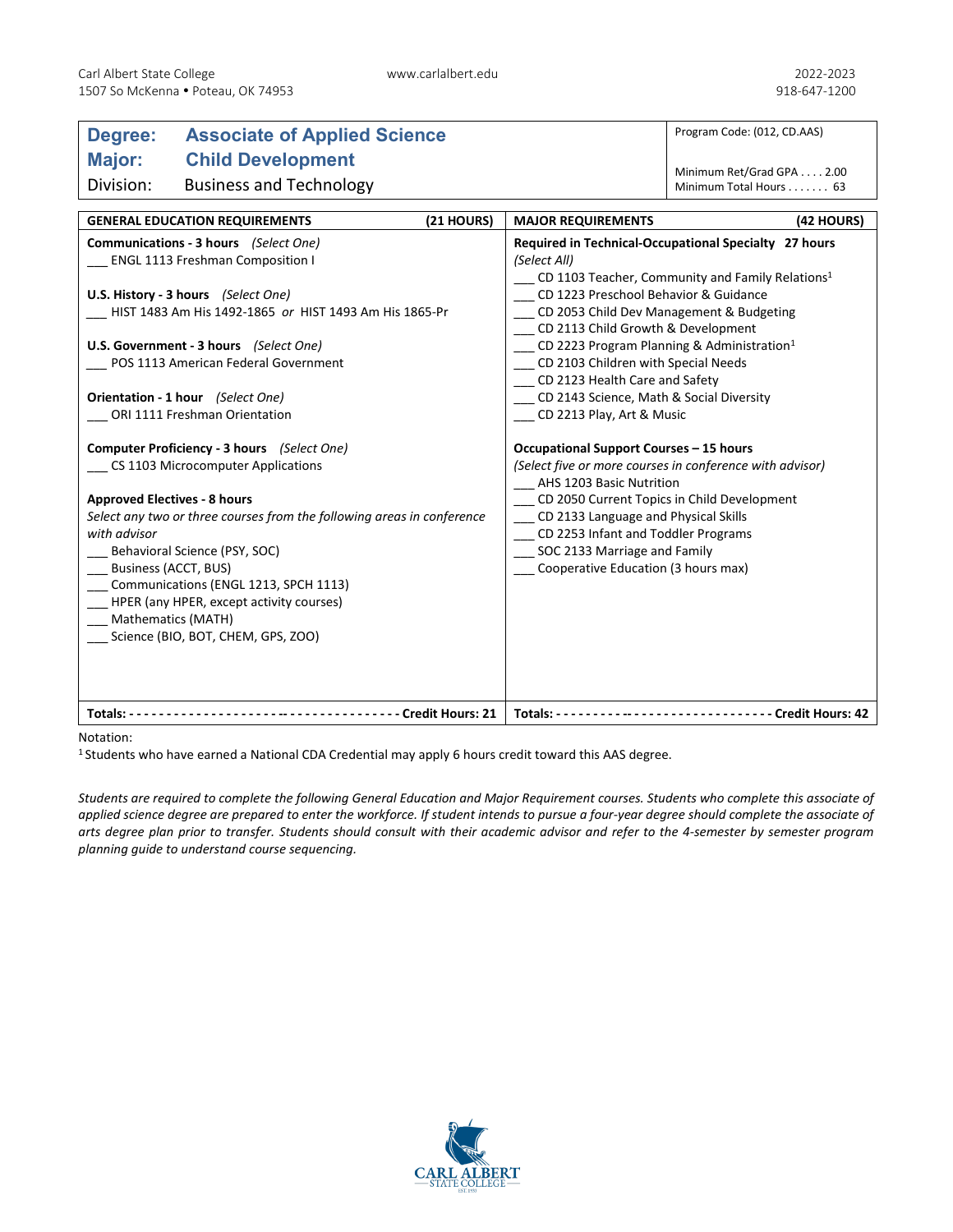## **Degree: Associate of Applied Science Major: Child Development** Division: Business and Technology

Program Code: (012, CD.AAS)

Minimum Ret/Grad GPA . . . . 2.00 Minimum Total Hours . . . . . . . 63

| <b>GENERAL EDUCATION REQUIREMENTS</b>                                                                                                                                                                                                                                                                                                                                                                                        | (21 HOURS) | <b>MAJOR REQUIREMENTS</b>                                                                                                                                                                                                                                                                                                                                                                                                                                                    | (42 HOURS) |
|------------------------------------------------------------------------------------------------------------------------------------------------------------------------------------------------------------------------------------------------------------------------------------------------------------------------------------------------------------------------------------------------------------------------------|------------|------------------------------------------------------------------------------------------------------------------------------------------------------------------------------------------------------------------------------------------------------------------------------------------------------------------------------------------------------------------------------------------------------------------------------------------------------------------------------|------------|
| Communications - 3 hours (Select One)<br>ENGL 1113 Freshman Composition I<br>U.S. History - 3 hours (Select One)<br>HIST 1483 Am His 1492-1865 or HIST 1493 Am His 1865-Pr<br>U.S. Government - 3 hours (Select One)<br>POS 1113 American Federal Government<br>Orientation - 1 hour (Select One)<br>ORI 1111 Freshman Orientation                                                                                           |            | Required in Technical-Occupational Specialty 27 hours<br>(Select All)<br>CD 1103 Teacher, Community and Family Relations <sup>1</sup><br>CD 1223 Preschool Behavior & Guidance<br>CD 2053 Child Dev Management & Budgeting<br>CD 2113 Child Growth & Development<br>CD 2223 Program Planning & Administration <sup>1</sup><br>CD 2103 Children with Special Needs<br>CD 2123 Health Care and Safety<br>CD 2143 Science, Math & Social Diversity<br>CD 2213 Play, Art & Music |            |
| Computer Proficiency - 3 hours (Select One)<br>CS 1103 Microcomputer Applications<br><b>Approved Electives - 8 hours</b><br>Select any two or three courses from the following areas in conference<br>with advisor<br>Behavioral Science (PSY, SOC)<br>Business (ACCT, BUS)<br>Communications (ENGL 1213, SPCH 1113)<br>HPER (any HPER, except activity courses)<br>Mathematics (MATH)<br>Science (BIO, BOT, CHEM, GPS, ZOO) |            | Occupational Support Courses - 15 hours<br>(Select five or more courses in conference with advisor)<br>AHS 1203 Basic Nutrition<br>CD 2050 Current Topics in Child Development<br>CD 2133 Language and Physical Skills<br>CD 2253 Infant and Toddler Programs<br>SOC 2133 Marriage and Family<br>Cooperative Education (3 hours max)                                                                                                                                         |            |
| ------------------------------ Credit Hours: 21<br>Totals: $--$                                                                                                                                                                                                                                                                                                                                                              |            | ------------------------ Credit Hours: 42<br>Totals: $-$                                                                                                                                                                                                                                                                                                                                                                                                                     |            |

## Notation:

1 Students who have earned a National CDA Credential may apply 6 hours credit toward this AAS degree.

*Students are required to complete the following General Education and Major Requirement courses. Students who complete this associate of applied science degree are prepared to enter the workforce. If student intends to pursue a four-year degree should complete the associate of arts degree plan prior to transfer. Students should consult with their academic advisor and refer to the 4-semester by semester program planning guide to understand course sequencing.*